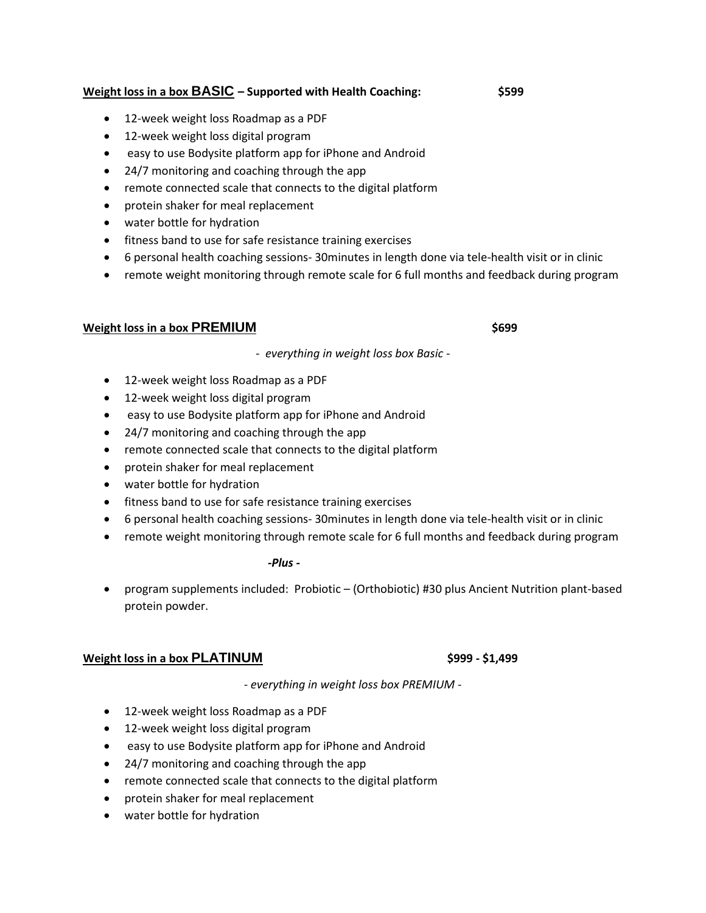# **Weight loss in a box BASIC – Supported with Health Coaching: \$599**

- 12-week weight loss Roadmap as a PDF
- 12-week weight loss digital program
- easy to use Bodysite platform app for iPhone and Android
- 24/7 monitoring and coaching through the app
- remote connected scale that connects to the digital platform
- protein shaker for meal replacement
- water bottle for hydration
- fitness band to use for safe resistance training exercises
- 6 personal health coaching sessions- 30minutes in length done via tele-health visit or in clinic
- remote weight monitoring through remote scale for 6 full months and feedback during program

# **Weight loss in a box PREMIUM EXECUTE:**  $\frac{1}{2}$  **\$699**

*- everything in weight loss box Basic -*

- 12-week weight loss Roadmap as a PDF
- 12-week weight loss digital program
- easy to use Bodysite platform app for iPhone and Android
- 24/7 monitoring and coaching through the app
- remote connected scale that connects to the digital platform
- protein shaker for meal replacement
- water bottle for hydration
- fitness band to use for safe resistance training exercises
- 6 personal health coaching sessions- 30minutes in length done via tele-health visit or in clinic
- remote weight monitoring through remote scale for 6 full months and feedback during program

## *-Plus -*

• program supplements included: Probiotic – (Orthobiotic) #30 plus Ancient Nutrition plant-based protein powder.

# **Weight loss in a box PLATINUM \$999 - \$1,499**

- *everything in weight loss box PREMIUM -*

- 12-week weight loss Roadmap as a PDF
- 12-week weight loss digital program
- easy to use Bodysite platform app for iPhone and Android
- 24/7 monitoring and coaching through the app
- remote connected scale that connects to the digital platform
- protein shaker for meal replacement
- water bottle for hydration